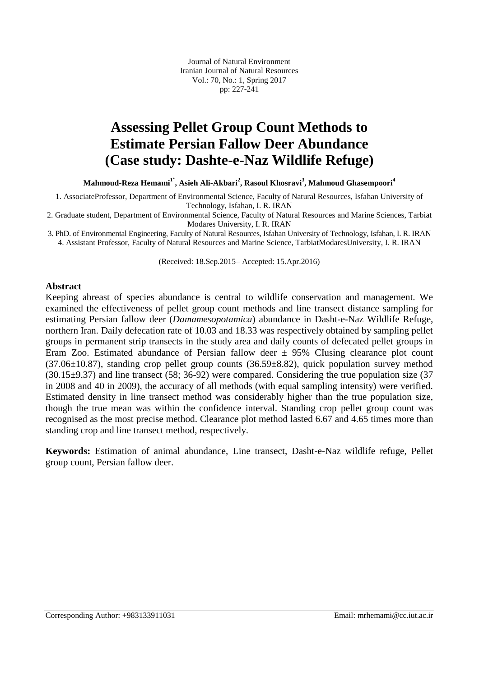Journal of Natural Environment Iranian Journal of Natural Resources Vol.: 70, No.: 1, Spring 2017 pp: 227-241

## **Assessing Pellet Group Count Methods to Estimate Persian Fallow Deer Abundance (Case study: Dashte-e-Naz Wildlife Refuge)**

**Mahmoud-Reza Hemami<sup>1</sup>**\* **, Asieh Ali-Akbari<sup>2</sup> , Rasoul Khosravi<sup>3</sup> , Mahmoud Ghasempoori<sup>4</sup>**

1. AssociateProfessor, Department of Environmental Science, Faculty of Natural Resources, Isfahan University of Technology, Isfahan, I. R. IRAN

2. Graduate student, Department of Environmental Science, Faculty of Natural Resources and Marine Sciences, Tarbiat Modares University, I. R. IRAN

3. PhD. of Environmental Engineering, Faculty of Natural Resources, Isfahan University of Technology, Isfahan, I. R. IRAN 4. Assistant Professor, Faculty of Natural Resources and Marine Science, TarbiatModaresUniversity, I. R. IRAN

(Received: 18.Sep.2015– Accepted: 15.Apr.2016)

### **Abstract**

Keeping abreast of species abundance is central to wildlife conservation and management. We examined the effectiveness of pellet group count methods and line transect distance sampling for estimating Persian fallow deer (*Damamesopotamica*) abundance in Dasht-e-Naz Wildlife Refuge, northern Iran. Daily defecation rate of 10.03 and 18.33 was respectively obtained by sampling pellet groups in permanent strip transects in the study area and daily counts of defecated pellet groups in Eram Zoo. Estimated abundance of Persian fallow deer  $\pm$  95% Clusing clearance plot count  $(37.06\pm10.87)$ , standing crop pellet group counts  $(36.59\pm8.82)$ , quick population survey method (30.15±9.37) and line transect (58; 36-92) were compared. Considering the true population size (37 in 2008 and 40 in 2009), the accuracy of all methods (with equal sampling intensity) were verified. Estimated density in line transect method was considerably higher than the true population size, though the true mean was within the confidence interval. Standing crop pellet group count was recognised as the most precise method. Clearance plot method lasted 6.67 and 4.65 times more than standing crop and line transect method, respectively.

**Keywords:** Estimation of animal abundance, Line transect, Dasht-e-Naz wildlife refuge, Pellet group count, Persian fallow deer.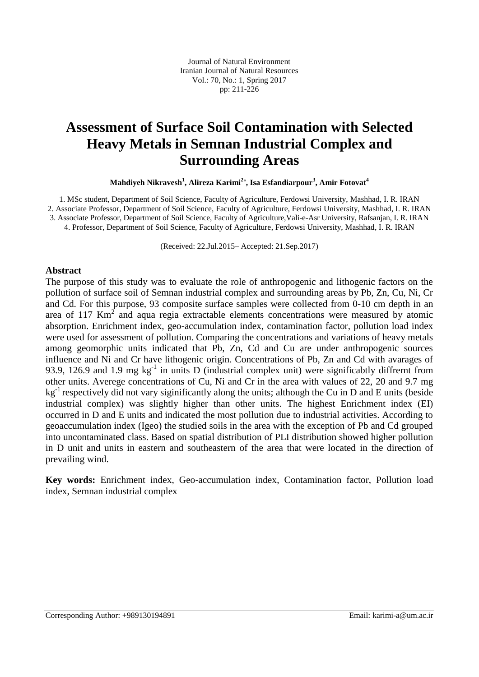Journal of Natural Environment Iranian Journal of Natural Resources Vol.: 70, No.: 1, Spring 2017 pp: 211-226

## **Assessment of Surface Soil Contamination with Selected Heavy Metals in Semnan Industrial Complex and Surrounding Areas**

**Mahdiyeh Nikravesh<sup>1</sup> , Alireza Karimi<sup>2</sup>**\* **, Isa Esfandiarpour<sup>3</sup> , Amir Fotovat<sup>4</sup>**

1. MSc student, Department of Soil Science, Faculty of Agriculture, Ferdowsi University, Mashhad, I. R. IRAN 2. Associate Professor, Department of Soil Science, Faculty of Agriculture, Ferdowsi University, Mashhad, I. R. IRAN 3. Associate Professor, Department of Soil Science, Faculty of Agriculture,Vali-e-Asr University, Rafsanjan, I. R. IRAN 4. Professor, Department of Soil Science, Faculty of Agriculture, Ferdowsi University, Mashhad, I. R. IRAN

(Received: 22.Jul.2015– Accepted: 21.Sep.2017)

### **Abstract**

The purpose of this study was to evaluate the role of anthropogenic and lithogenic factors on the pollution of surface soil of Semnan industrial complex and surrounding areas by Pb, Zn, Cu, Ni, Cr and Cd. For this purpose, 93 composite surface samples were collected from 0-10 cm depth in an area of 117  $\text{Km}^2$  and aqua regia extractable elements concentrations were measured by atomic absorption. Enrichment index, geo-accumulation index, contamination factor, pollution load index were used for assessment of pollution. Comparing the concentrations and variations of heavy metals among geomorphic units indicated that Pb, Zn, Cd and Cu are under anthropogenic sources influence and Ni and Cr have lithogenic origin. Concentrations of Pb, Zn and Cd with avarages of 93.9, 126.9 and 1.9 mg  $kg^{-1}$  in units D (industrial complex unit) were significabtly diffrernt from other units. Averege concentrations of Cu, Ni and Cr in the area with values of 22, 20 and 9.7 mg  $kg<sup>-1</sup>$  respectively did not vary siginificantly along the units; although the Cu in D and E units (beside industrial complex) was slightly higher than other units. The highest Enrichment index (EI) occurred in D and E units and indicated the most pollution due to industrial activities. According to geoaccumulation index (Igeo) the studied soils in the area with the exception of Pb and Cd grouped into uncontaminated class. Based on spatial distribution of PLI distribution showed higher pollution in D unit and units in eastern and southeastern of the area that were located in the direction of prevailing wind.

**Key words:** Enrichment index, Geo-accumulation index, Contamination factor, Pollution load index, Semnan industrial complex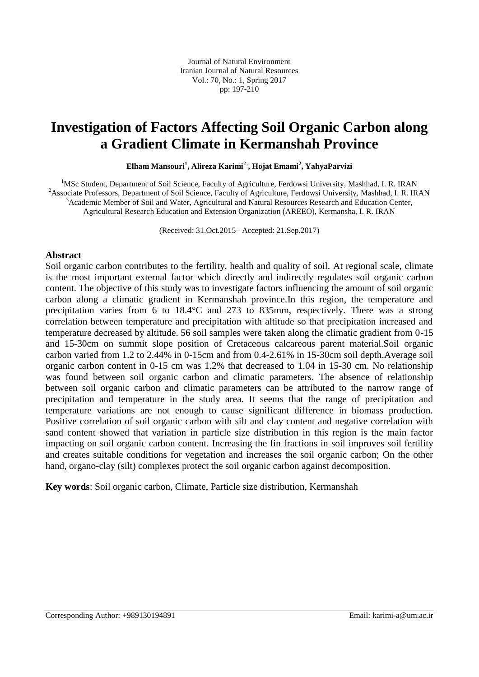### **Investigation of Factors Affecting Soil Organic Carbon along a Gradient Climate in Kermanshah Province**

**Elham Mansouri<sup>1</sup> , Alireza Karimi<sup>2</sup> , Hojat Emami<sup>2</sup> , YahyaParvizi**

<sup>1</sup>MSc Student, Department of Soil Science, Faculty of Agriculture, Ferdowsi University, Mashhad, I. R. IRAN <sup>2</sup>Associate Professors, Department of Soil Science, Faculty of Agriculture, Ferdowsi University, Mashhad, I. R. IRAN <sup>3</sup>Academic Member of Soil and Water, Agricultural and Natural Resources Research and Education Center, Agricultural Research Education and Extension Organization (AREEO), Kermansha, I. R. IRAN

(Received: 31.Oct.2015– Accepted: 21.Sep.2017)

### **Abstract**

Soil organic carbon contributes to the fertility, health and quality of soil. At regional scale, climate is the most important external factor which directly and indirectly regulates soil organic carbon content. The objective of this study was to investigate factors influencing the amount of soil organic carbon along a climatic gradient in Kermanshah province.In this region, the temperature and precipitation varies from 6 to 18.4°C and 273 to 835mm, respectively. There was a strong correlation between temperature and precipitation with altitude so that precipitation increased and temperature decreased by altitude. 56 soil samples were taken along the climatic gradient from 0-15 and 15-30cm on summit slope position of Cretaceous calcareous parent material.Soil organic carbon varied from 1.2 to 2.44% in 0-15cm and from 0.4-2.61% in 15-30cm soil depth.Average soil organic carbon content in 0-15 cm was 1.2% that decreased to 1.04 in 15-30 cm. No relationship was found between soil organic carbon and climatic parameters. The absence of relationship between soil organic carbon and climatic parameters can be attributed to the narrow range of precipitation and temperature in the study area. It seems that the range of precipitation and temperature variations are not enough to cause significant difference in biomass production. Positive correlation of soil organic carbon with silt and clay content and negative correlation with sand content showed that variation in particle size distribution in this region is the main factor impacting on soil organic carbon content. Increasing the fin fractions in soil improves soil fertility and creates suitable conditions for vegetation and increases the soil organic carbon; On the other hand, organo-clay (silt) complexes protect the soil organic carbon against decomposition.

**Key words**: Soil organic carbon, Climate, Particle size distribution, Kermanshah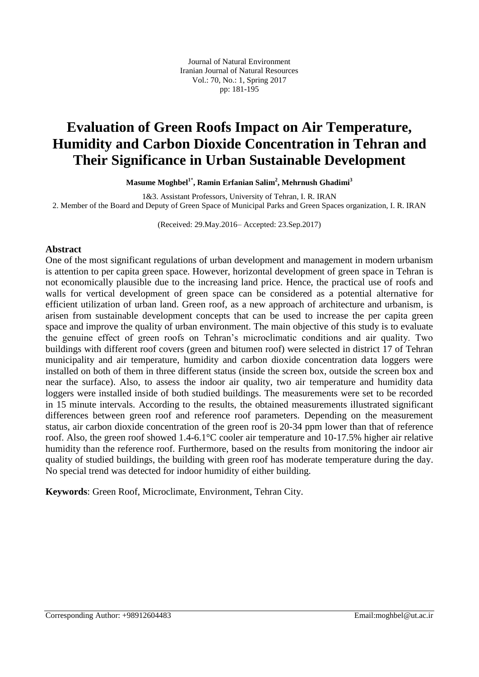Journal of Natural Environment Iranian Journal of Natural Resources Vol.: 70, No.: 1, Spring 2017 pp: 181-195

## **Evaluation of Green Roofs Impact on Air Temperature, Humidity and Carbon Dioxide Concentration in Tehran and Their Significance in Urban Sustainable Development**

**Masume Moghbel<sup>1</sup>**\* **, Ramin Erfanian Salim<sup>2</sup> , Mehrnush Ghadimi<sup>3</sup>**

1&3. Assistant Professors, University of Tehran, I. R. IRAN 2. Member of the Board and Deputy of Green Space of Municipal Parks and Green Spaces organization, I. R. IRAN

(Received: 29.May.2016– Accepted: 23.Sep.2017)

### **Abstract**

One of the most significant regulations of urban development and management in modern urbanism is attention to per capita green space. However, horizontal development of green space in Tehran is not economically plausible due to the increasing land price. Hence, the practical use of roofs and walls for vertical development of green space can be considered as a potential alternative for efficient utilization of urban land. Green roof, as a new approach of architecture and urbanism, is arisen from sustainable development concepts that can be used to increase the per capita green space and improve the quality of urban environment. The main objective of this study is to evaluate the genuine effect of green roofs on Tehran's microclimatic conditions and air quality. Two buildings with different roof covers (green and bitumen roof) were selected in district 17 of Tehran municipality and air temperature, humidity and carbon dioxide concentration data loggers were installed on both of them in three different status (inside the screen box, outside the screen box and near the surface). Also, to assess the indoor air quality, two air temperature and humidity data loggers were installed inside of both studied buildings. The measurements were set to be recorded in 15 minute intervals. According to the results, the obtained measurements illustrated significant differences between green roof and reference roof parameters. Depending on the measurement status, air carbon dioxide concentration of the green roof is 20-34 ppm lower than that of reference roof. Also, the green roof showed 1.4-6.1°C cooler air temperature and 10-17.5% higher air relative humidity than the reference roof. Furthermore, based on the results from monitoring the indoor air quality of studied buildings, the building with green roof has moderate temperature during the day. No special trend was detected for indoor humidity of either building.

**Keywords**: Green Roof, Microclimate, Environment, Tehran City.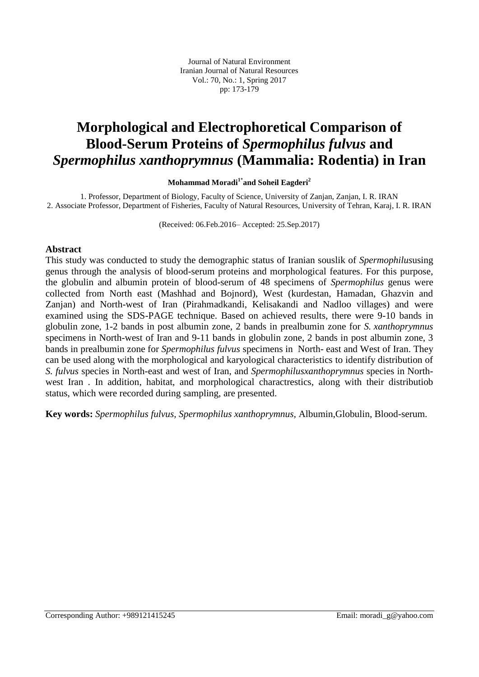Journal of Natural Environment Iranian Journal of Natural Resources Vol.: 70, No.: 1, Spring 2017 pp: 173-179

## **Morphological and Electrophoretical Comparison of Blood-Serum Proteins of** *Spermophilus fulvus* **and**  *Spermophilus xanthoprymnus* **(Mammalia: Rodentia) in Iran**

**Mohammad Moradi<sup>1</sup>**\* **and Soheil Eagderi<sup>2</sup>**

1. Professor, Department of Biology, Faculty of Science, University of Zanjan, Zanjan, I. R. IRAN 2. Associate Professor, Department of Fisheries, Faculty of Natural Resources, University of Tehran, Karaj, I. R. IRAN

(Received: 06.Feb.2016– Accepted: 25.Sep.2017)

#### **Abstract**

This study was conducted to study the demographic status of Iranian souslik of *Spermophilus*using genus through the analysis of blood-serum proteins and morphological features. For this purpose, the globulin and albumin protein of blood-serum of 48 specimens of *Spermophilus* genus were collected from North east (Mashhad and Bojnord), West (kurdestan, Hamadan, Ghazvin and Zanjan) and North-west of Iran (Pirahmadkandi, Kelisakandi and Nadloo villages) and were examined using the SDS-PAGE technique. Based on achieved results, there were 9-10 bands in globulin zone, 1-2 bands in post albumin zone, 2 bands in prealbumin zone for *S. xanthoprymnus* specimens in North-west of Iran and 9-11 bands in globulin zone, 2 bands in post albumin zone, 3 bands in prealbumin zone for *Spermophilus fulvus* specimens in North- east and West of Iran. They can be used along with the morphological and karyological characteristics to identify distribution of *S. fulvus* species in North-east and west of Iran, and *Spermophilusxanthoprymnus* species in Northwest Iran . In addition, habitat, and morphological charactrestics, along with their distributiob status, which were recorded during sampling, are presented.

**Key words:** *Spermophilus fulvus, Spermophilus xanthoprymnus,* Albumin,Globulin, Blood-serum.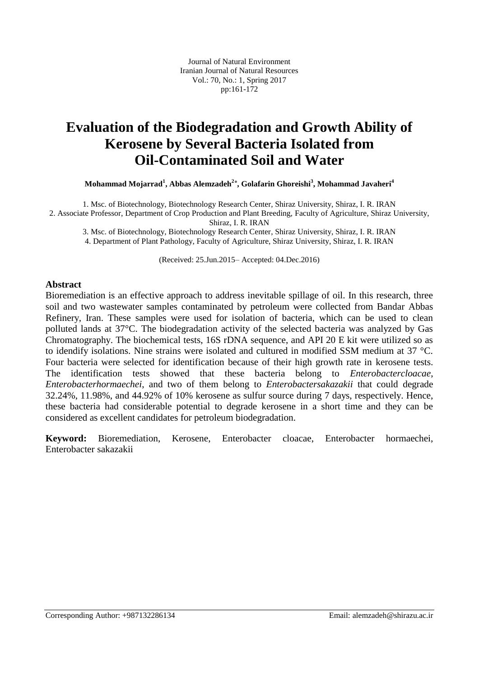Journal of Natural Environment Iranian Journal of Natural Resources Vol.: 70, No.: 1, Spring 2017 pp:161-172

## **Evaluation of the Biodegradation and Growth Ability of Kerosene by Several Bacteria Isolated from Oil-Contaminated Soil and Water**

**Mohammad Mojarrad<sup>1</sup> , Abbas Alemzadeh<sup>2</sup>\* , Golafarin Ghoreishi<sup>3</sup> , Mohammad Javaheri<sup>4</sup>**

1. Msc. of Biotechnology, Biotechnology Research Center, Shiraz University, Shiraz, I. R. IRAN 2. Associate Professor, Department of Crop Production and Plant Breeding, Faculty of Agriculture, Shiraz University, Shiraz, I. R. IRAN

3. Msc. of Biotechnology, Biotechnology Research Center, Shiraz University, Shiraz, I. R. IRAN

4. Department of Plant Pathology, Faculty of Agriculture, Shiraz University, Shiraz, I. R. IRAN

(Received: 25.Jun.2015– Accepted: 04.Dec.2016)

#### **Abstract**

Bioremediation is an effective approach to address inevitable spillage of oil. In this research, three soil and two wastewater samples contaminated by petroleum were collected from Bandar Abbas Refinery, Iran. These samples were used for isolation of bacteria, which can be used to clean polluted lands at 37°C. The biodegradation activity of the selected bacteria was analyzed by Gas Chromatography. The biochemical tests, 16S rDNA sequence, and API 20 E kit were utilized so as to idendify isolations. Nine strains were isolated and cultured in modified SSM medium at 37 °C. Four bacteria were selected for identification because of their high growth rate in kerosene tests. The identification tests showed that these bacteria belong to *Enterobactercloacae*, *Enterobacterhormaechei*, and two of them belong to *Enterobactersakazakii* that could degrade 32.24%, 11.98%, and 44.92% of 10% kerosene as sulfur source during 7 days, respectively. Hence, these bacteria had considerable potential to degrade kerosene in a short time and they can be considered as excellent candidates for petroleum biodegradation.

**Keyword:** Bioremediation, Kerosene, Enterobacter cloacae, Enterobacter hormaechei, Enterobacter sakazakii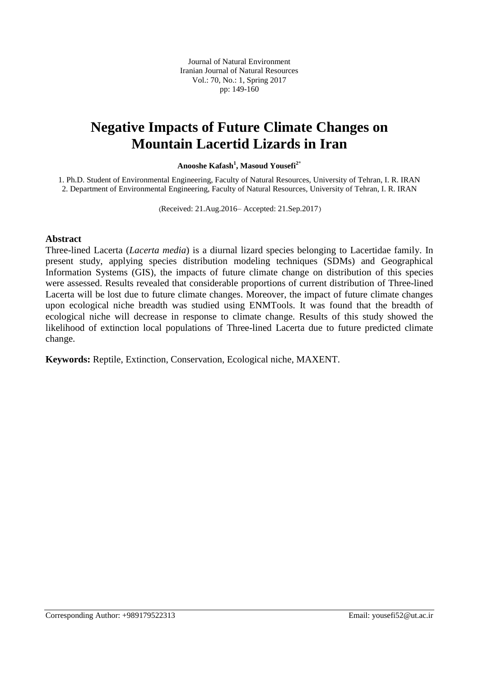Journal of Natural Environment Iranian Journal of Natural Resources Vol.: 70, No.: 1, Spring 2017 pp: 149-160

### **Negative Impacts of Future Climate Changes on Mountain Lacertid Lizards in Iran**

**Anooshe Kafash<sup>1</sup> , Masoud Yousefi2\***

1. Ph.D. Student of Environmental Engineering, Faculty of Natural Resources, University of Tehran, I. R. IRAN 2. Department of Environmental Engineering, Faculty of Natural Resources, University of Tehran, I. R. IRAN

(Received: 21.Aug.2016– Accepted: 21.Sep.2017)

#### **Abstract**

Three-lined Lacerta (*Lacerta media*) is a diurnal lizard species belonging to Lacertidae family. In present study, applying species distribution modeling techniques (SDMs) and Geographical Information Systems (GIS), the impacts of future climate change on distribution of this species were assessed. Results revealed that considerable proportions of current distribution of Three-lined Lacerta will be lost due to future climate changes. Moreover, the impact of future climate changes upon ecological niche breadth was studied using ENMTools. It was found that the breadth of ecological niche will decrease in response to climate change. Results of this study showed the likelihood of extinction local populations of Three-lined Lacerta due to future predicted climate change.

**Keywords:** Reptile, Extinction, Conservation, Ecological niche, MAXENT.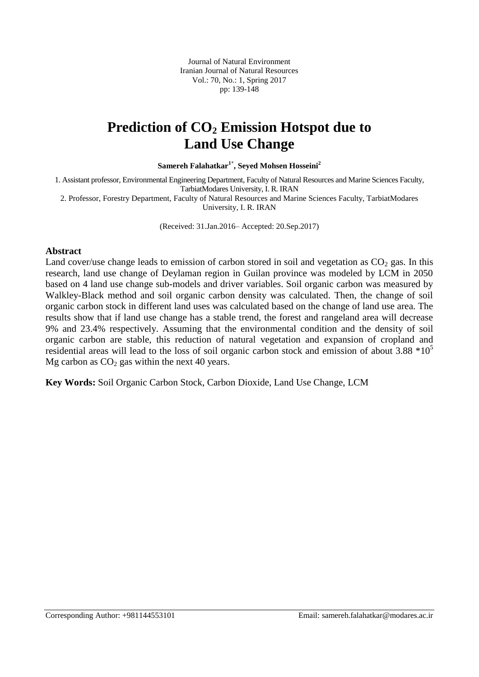Journal of Natural Environment Iranian Journal of Natural Resources Vol.: 70, No.: 1, Spring 2017 pp: 139-148

### **Prediction of CO<sup>2</sup> Emission Hotspot due to Land Use Change**

**Samereh Falahatkar1\* , Seyed Mohsen Hosseini<sup>2</sup>**

1. Assistant professor, Environmental Engineering Department, Faculty of Natural Resources and Marine Sciences Faculty, TarbiatModares University, I. R. IRAN

2. Professor, Forestry Department, Faculty of Natural Resources and Marine Sciences Faculty, TarbiatModares University, I. R. IRAN

(Received: 31.Jan.2016– Accepted: 20.Sep.2017)

### **Abstract**

Land cover/use change leads to emission of carbon stored in soil and vegetation as  $CO<sub>2</sub>$  gas. In this research, land use change of Deylaman region in Guilan province was modeled by LCM in 2050 based on 4 land use change sub-models and driver variables. Soil organic carbon was measured by Walkley-Black method and soil organic carbon density was calculated. Then, the change of soil organic carbon stock in different land uses was calculated based on the change of land use area. The results show that if land use change has a stable trend, the forest and rangeland area will decrease 9% and 23.4% respectively. Assuming that the environmental condition and the density of soil organic carbon are stable, this reduction of natural vegetation and expansion of cropland and residential areas will lead to the loss of soil organic carbon stock and emission of about 3.88  $*10<sup>5</sup>$ Mg carbon as  $CO<sub>2</sub>$  gas within the next 40 years.

**Key Words:** Soil Organic Carbon Stock, Carbon Dioxide, Land Use Change, LCM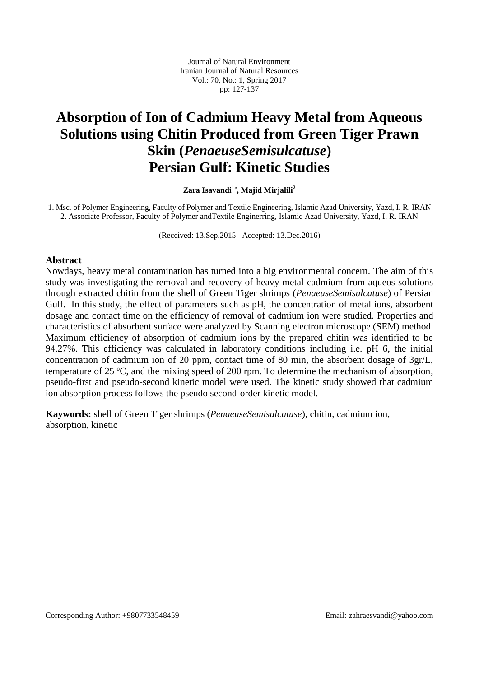# **Absorption of Ion of Cadmium Heavy Metal from Aqueous Solutions using Chitin Produced from Green Tiger Prawn Skin (***PenaeuseSemisulcatuse***) Persian Gulf: Kinetic Studies**

**Zara Isavandi<sup>1</sup>**\* **, Majid Mirjalili<sup>2</sup>**

1. Msc. of Polymer Engineering, Faculty of Polymer and Textile Engineering, Islamic Azad University, Yazd, I. R. IRAN 2. Associate Professor, Faculty of Polymer andTextile Enginerring, Islamic Azad University, Yazd, I. R. IRAN

(Received: 13.Sep.2015– Accepted: 13.Dec.2016)

#### **Abstract**

Nowdays, heavy metal contamination has turned into a big environmental concern. The aim of this study was investigating the removal and recovery of heavy metal cadmium from aqueos solutions through extracted chitin from the shell of Green Tiger shrimps (*PenaeuseSemisulcatuse*) of Persian Gulf. In this study, the effect of parameters such as pH, the concentration of metal ions, absorbent dosage and contact time on the efficiency of removal of cadmium ion were studied. Properties and characteristics of absorbent surface were analyzed by Scanning electron microscope (SEM) method. Maximum efficiency of absorption of cadmium ions by the prepared chitin was identified to be 94.27%. This efficiency was calculated in laboratory conditions including i.e. pH 6, the initial concentration of cadmium ion of 20 ppm, contact time of 80 min, the absorbent dosage of 3gr/L, temperature of 25 ºC, and the mixing speed of 200 rpm. To determine the mechanism of absorption, pseudo-first and pseudo-second kinetic model were used. The kinetic study showed that cadmium ion absorption process follows the pseudo second-order kinetic model.

**Kaywords:** shell of Green Tiger shrimps (*PenaeuseSemisulcatuse*), chitin, cadmium ion, absorption, kinetic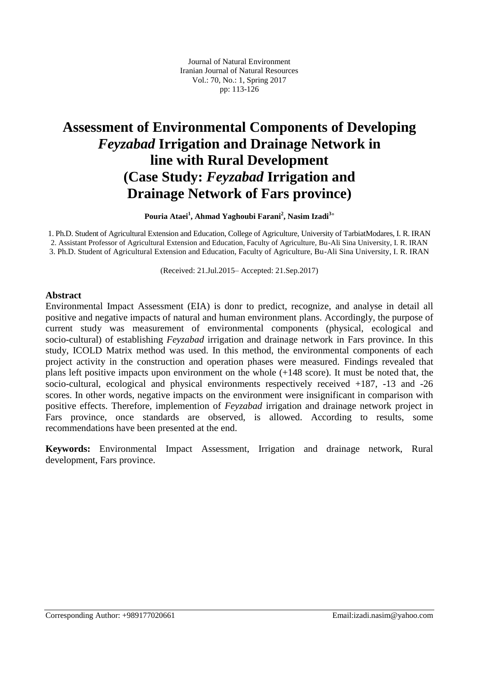# **Assessment of Environmental Components of Developing** *Feyzabad* **Irrigation and Drainage Network in line with Rural Development (Case Study:** *Feyzabad* **Irrigation and Drainage Network of Fars province)**

**Pouria Ataei<sup>1</sup> , Ahmad Yaghoubi Farani<sup>2</sup> , Nasim Izadi<sup>3</sup>**\*

1. Ph.D. Student of Agricultural Extension and Education, College of Agriculture, University of TarbiatModares, I. R. IRAN 2. Assistant Professor of Agricultural Extension and Education, Faculty of Agriculture, Bu-Ali Sina University, I. R. IRAN 3. Ph.D. Student of Agricultural Extension and Education, Faculty of Agriculture, Bu-Ali Sina University, I. R. IRAN

(Received: 21.Jul.2015– Accepted: 21.Sep.2017)

### **Abstract**

Environmental Impact Assessment (EIA) is donr to predict, recognize, and analyse in detail all positive and negative impacts of natural and human environment plans. Accordingly, the purpose of current study was measurement of environmental components (physical, ecological and socio-cultural) of establishing *Feyzabad* irrigation and drainage network in Fars province. In this study, ICOLD Matrix method was used. In this method, the environmental components of each project activity in the construction and operation phases were measured. Findings revealed that plans left positive impacts upon environment on the whole (+148 score). It must be noted that, the socio-cultural, ecological and physical environments respectively received +187, -13 and -26 scores. In other words, negative impacts on the environment were insignificant in comparison with positive effects. Therefore, implemention of *Feyzabad* irrigation and drainage network project in Fars province, once standards are observed, is allowed. According to results, some recommendations have been presented at the end.

**Keywords:** Environmental Impact Assessment, Irrigation and drainage network, Rural development, Fars province.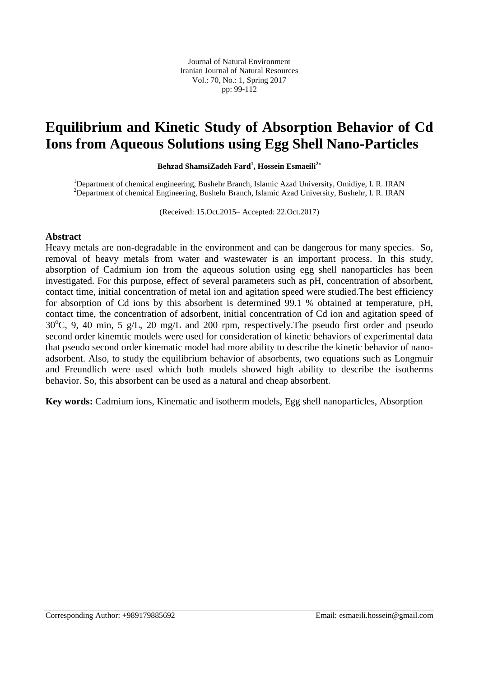Journal of Natural Environment Iranian Journal of Natural Resources Vol.: 70, No.: 1, Spring 2017 pp: 99-112

### **Equilibrium and Kinetic Study of Absorption Behavior of Cd Ions from Aqueous Solutions using Egg Shell Nano-Particles**

**Behzad ShamsiZadeh Fard<sup>1</sup> , Hossein Esmaeili<sup>2</sup>**\*

<sup>1</sup>Department of chemical engineering, Bushehr Branch, Islamic Azad University, Omidiye, I. R. IRAN <sup>2</sup>Department of chemical Engineering, Bushehr Branch, Islamic Azad University, Bushehr, I. R. IRAN

(Received: 15.Oct.2015– Accepted: 22.Oct.2017)

### **Abstract**

Heavy metals are non-degradable in the environment and can be dangerous for many species. So, removal of heavy metals from water and wastewater is an important process. In this study, absorption of Cadmium ion from the aqueous solution using egg shell nanoparticles has been investigated. For this purpose, effect of several parameters such as pH, concentration of absorbent, contact time, initial concentration of metal ion and agitation speed were studied.The best efficiency for absorption of Cd ions by this absorbent is determined 99.1 % obtained at temperature, pH, contact time, the concentration of adsorbent, initial concentration of Cd ion and agitation speed of  $30^{\circ}$ C, 9, 40 min, 5 g/L, 20 mg/L and 200 rpm, respectively. The pseudo first order and pseudo second order kinemtic models were used for consideration of kinetic behaviors of experimental data that pseudo second order kinematic model had more ability to describe the kinetic behavior of nanoadsorbent. Also, to study the equilibrium behavior of absorbents, two equations such as Longmuir and Freundlich were used which both models showed high ability to describe the isotherms behavior. So, this absorbent can be used as a natural and cheap absorbent.

**Key words:** Cadmium ions, Kinematic and isotherm models, Egg shell nanoparticles, Absorption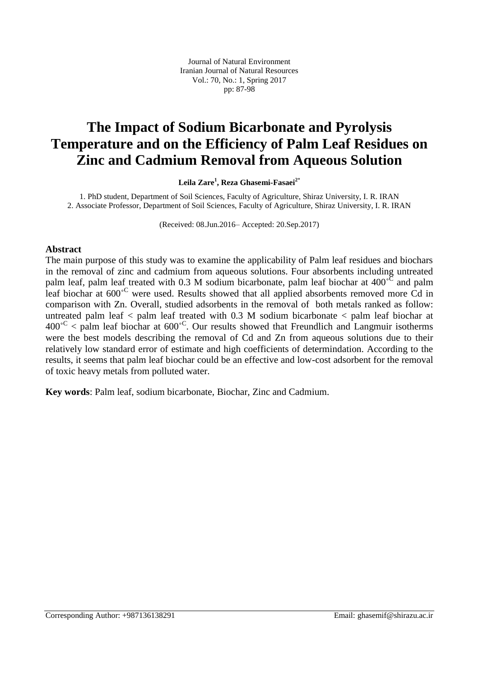Journal of Natural Environment Iranian Journal of Natural Resources Vol.: 70, No.: 1, Spring 2017 pp: 87-98

## **The Impact of Sodium Bicarbonate and Pyrolysis Temperature and on the Efficiency of Palm Leaf Residues on Zinc and Cadmium Removal from Aqueous Solution**

**Leila Zare<sup>1</sup> , Reza Ghasemi-Fasaei<sup>2</sup>**\*

1. PhD student, Department of Soil Sciences, Faculty of Agriculture, Shiraz University, I. R. IRAN 2. Associate Professor, Department of Soil Sciences, Faculty of Agriculture, Shiraz University, I. R. IRAN

(Received: 08.Jun.2016– Accepted: 20.Sep.2017)

### **Abstract**

The main purpose of this study was to examine the applicability of Palm leaf residues and biochars in the removal of zinc and cadmium from aqueous solutions. Four absorbents including untreated palm leaf, palm leaf treated with 0.3 M sodium bicarbonate, palm leaf biochar at 400<sup>°C</sup> and palm leaf biochar at 600<sup>°C</sup> were used. Results showed that all applied absorbents removed more Cd in comparison with Zn. Overall, studied adsorbents in the removal of both metals ranked as follow: untreated palm leaf < palm leaf treated with 0.3 M sodium bicarbonate < palm leaf biochar at  $400^{\circ}$ C < palm leaf biochar at  $600^{\circ}$ C. Our results showed that Freundlich and Langmuir isotherms were the best models describing the removal of Cd and Zn from aqueous solutions due to their relatively low standard error of estimate and high coefficients of determindation. According to the results, it seems that palm leaf biochar could be an effective and low-cost adsorbent for the removal of toxic heavy metals from polluted water.

**Key words**: Palm leaf, sodium bicarbonate, Biochar, Zinc and Cadmium.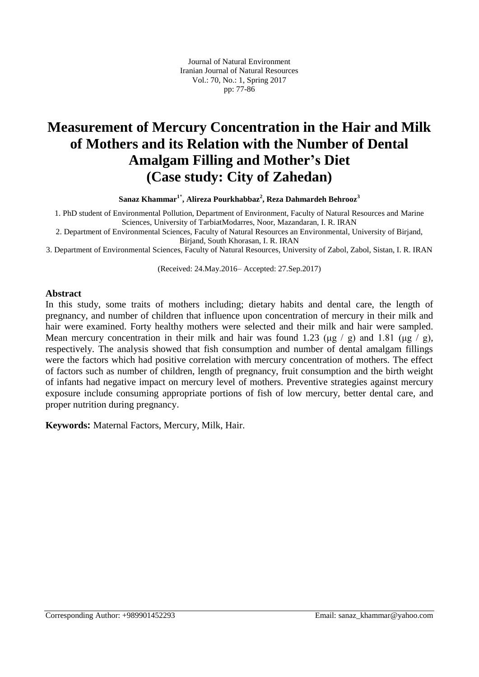# **Measurement of Mercury Concentration in the Hair and Milk of Mothers and its Relation with the Number of Dental Amalgam Filling and Mother's Diet (Case study: City of Zahedan)**

**Sanaz Khammar<sup>1</sup>**\* **, Alireza Pourkhabbaz<sup>2</sup> , Reza Dahmardeh Behrooz<sup>3</sup>**

1. PhD student of Environmental Pollution, Department of Environment, Faculty of Natural Resources and Marine Sciences, University of TarbiatModarres, Noor, Mazandaran, I. R. IRAN

2. Department of Environmental Sciences, Faculty of Natural Resources an Environmental, University of Birjand, Birjand, South Khorasan, I. R. IRAN

3. Department of Environmental Sciences, Faculty of Natural Resources, University of Zabol, Zabol, Sistan, I. R. IRAN

(Received: 24.May.2016– Accepted: 27.Sep.2017)

#### **Abstract**

In this study, some traits of mothers including; dietary habits and dental care, the length of pregnancy, and number of children that influence upon concentration of mercury in their milk and hair were examined. Forty healthy mothers were selected and their milk and hair were sampled. Mean mercury concentration in their milk and hair was found 1.23 ( $\mu$ g / g) and 1.81 ( $\mu$ g / g), respectively. The analysis showed that fish consumption and number of dental amalgam fillings were the factors which had positive correlation with mercury concentration of mothers. The effect of factors such as number of children, length of pregnancy, fruit consumption and the birth weight of infants had negative impact on mercury level of mothers. Preventive strategies against mercury exposure include consuming appropriate portions of fish of low mercury, better dental care, and proper nutrition during pregnancy.

**Keywords:** Maternal Factors, Mercury, Milk, Hair.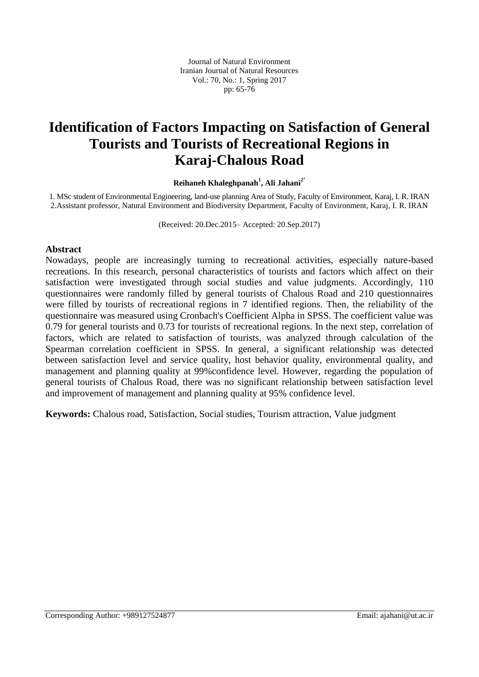## **Identification of Factors Impacting on Satisfaction of General Tourists and Tourists of Recreational Regions in Karaj-Chalous Road**

#### **Reihaneh Khaleghpanah<sup>1</sup> , Ali Jahani<sup>2</sup>**\*

1. MSc student of Environmental Engineering, land-use planning Area of Study, Faculty of Environment, Karaj, I. R. IRAN 2.Assistant professor, Natural Environment and Biodiversity Department, Faculty of Environment, Karaj, I. R. IRAN

(Received: 20.Dec.2015– Accepted: 20.Sep.2017)

### **Abstract**

Nowadays, people are increasingly turning to recreational activities, especially nature-based recreations. In this research, personal characteristics of tourists and factors which affect on their satisfaction were investigated through social studies and value judgments. Accordingly, 110 questionnaires were randomly filled by general tourists of Chalous Road and 210 questionnaires were filled by tourists of recreational regions in 7 identified regions. Then, the reliability of the questionnaire was measured using Cronbach's Coefficient Alpha in SPSS. The coefficient value was 0.79 for general tourists and 0.73 for tourists of recreational regions. In the next step, correlation of factors, which are related to satisfaction of tourists, was analyzed through calculation of the Spearman correlation coefficient in SPSS. In general, a significant relationship was detected between satisfaction level and service quality, host behavior quality, environmental quality, and management and planning quality at 99%confidence level. However, regarding the population of general tourists of Chalous Road, there was no significant relationship between satisfaction level and improvement of management and planning quality at 95% confidence level.

**Keywords:** Chalous road, Satisfaction, Social studies, Tourism attraction, Value judgment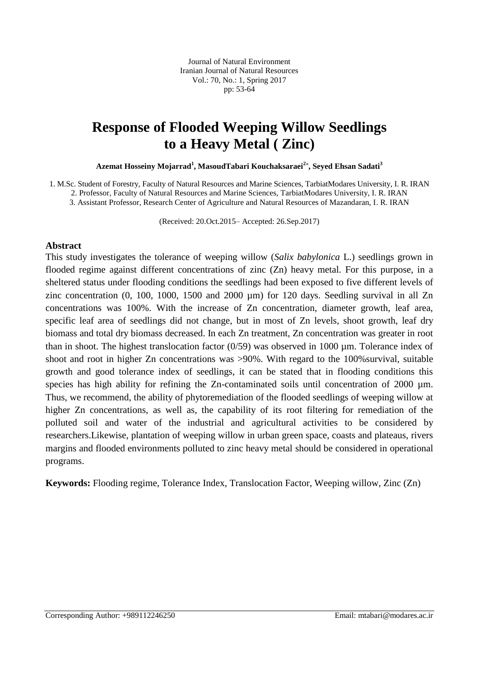Journal of Natural Environment Iranian Journal of Natural Resources Vol.: 70, No.: 1, Spring 2017 pp: 53-64

### **Response of Flooded Weeping Willow Seedlings to a Heavy Metal ( Zinc)**

**Azemat Hosseiny Mojarrad<sup>1</sup> , MasoudTabari Kouchaksaraei<sup>2</sup>**\* **, Seyed Ehsan Sadati<sup>3</sup>**

1. M.Sc. Student of Forestry, Faculty of Natural Resources and Marine Sciences, TarbiatModares University, I. R. IRAN

2. Professor, Faculty of Natural Resources and Marine Sciences, TarbiatModares University, I. R. IRAN 3. Assistant Professor, Research Center of Agriculture and Natural Resources of Mazandaran, I. R. IRAN

(Received: 20.Oct.2015– Accepted: 26.Sep.2017)

#### **Abstract**

This study investigates the tolerance of weeping willow (*Salix babylonica* L.) seedlings grown in flooded regime against different concentrations of zinc (Zn) heavy metal. For this purpose, in a sheltered status under flooding conditions the seedlings had been exposed to five different levels of zinc concentration (0, 100, 1000, 1500 and 2000 µm) for 120 days. Seedling survival in all Zn concentrations was 100%. With the increase of Zn concentration, diameter growth, leaf area, specific leaf area of seedlings did not change, but in most of Zn levels, shoot growth, leaf dry biomass and total dry biomass decreased. In each Zn treatment, Zn concentration was greater in root than in shoot. The highest translocation factor  $(0/59)$  was observed in 1000  $\mu$ m. Tolerance index of shoot and root in higher Zn concentrations was >90%. With regard to the 100% survival, suitable growth and good tolerance index of seedlings, it can be stated that in flooding conditions this species has high ability for refining the Zn-contaminated soils until concentration of 2000  $\mu$ m. Thus, we recommend, the ability of phytoremediation of the flooded seedlings of weeping willow at higher Zn concentrations, as well as, the capability of its root filtering for remediation of the polluted soil and water of the industrial and agricultural activities to be considered by researchers.Likewise, plantation of weeping willow in urban green space, coasts and plateaus, rivers margins and flooded environments polluted to zinc heavy metal should be considered in operational programs.

**Keywords:** Flooding regime, Tolerance Index, Translocation Factor, Weeping willow, Zinc (Zn)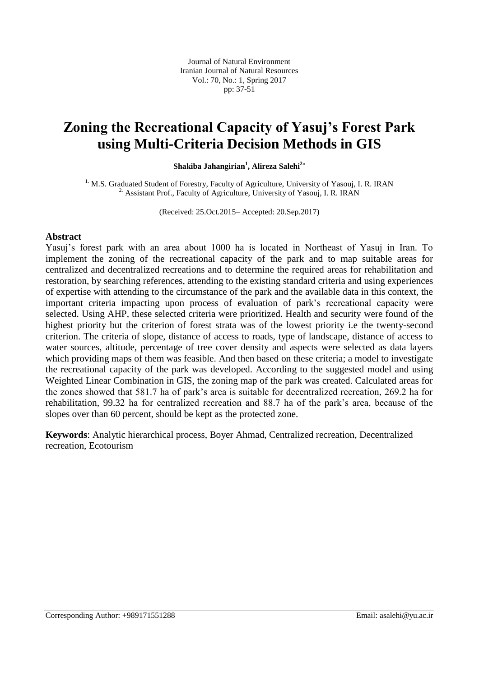Journal of Natural Environment Iranian Journal of Natural Resources Vol.: 70, No.: 1, Spring 2017 pp: 37-51

### **Zoning the Recreational Capacity of Yasuj's Forest Park using Multi-Criteria Decision Methods in GIS**

**Shakiba Jahangirian<sup>1</sup> , Alireza Salehi<sup>2</sup>**\*

<sup>1.</sup> M.S. Graduated Student of Forestry, Faculty of Agriculture, University of Yasouj, I. R. IRAN <sup>2</sup> Assistant Prof., Faculty of Agriculture, University of Yasouj, I. R. IRAN

(Received: 25.Oct.2015– Accepted: 20.Sep.2017)

#### **Abstract**

Yasuj's forest park with an area about 1000 ha is located in Northeast of Yasuj in Iran. To implement the zoning of the recreational capacity of the park and to map suitable areas for centralized and decentralized recreations and to determine the required areas for rehabilitation and restoration, by searching references, attending to the existing standard criteria and using experiences of expertise with attending to the circumstance of the park and the available data in this context, the important criteria impacting upon process of evaluation of park's recreational capacity were selected. Using AHP, these selected criteria were prioritized. Health and security were found of the highest priority but the criterion of forest strata was of the lowest priority i.e the twenty-second criterion. The criteria of slope, distance of access to roads, type of landscape, distance of access to water sources, altitude, percentage of tree cover density and aspects were selected as data layers which providing maps of them was feasible. And then based on these criteria; a model to investigate the recreational capacity of the park was developed. According to the suggested model and using Weighted Linear Combination in GIS, the zoning map of the park was created. Calculated areas for the zones showed that 581.7 ha of park's area is suitable for decentralized recreation, 269.2 ha for rehabilitation, 99.32 ha for centralized recreation and 88.7 ha of the park's area, because of the slopes over than 60 percent, should be kept as the protected zone.

**Keywords**: Analytic hierarchical process, Boyer Ahmad, Centralized recreation, Decentralized recreation, Ecotourism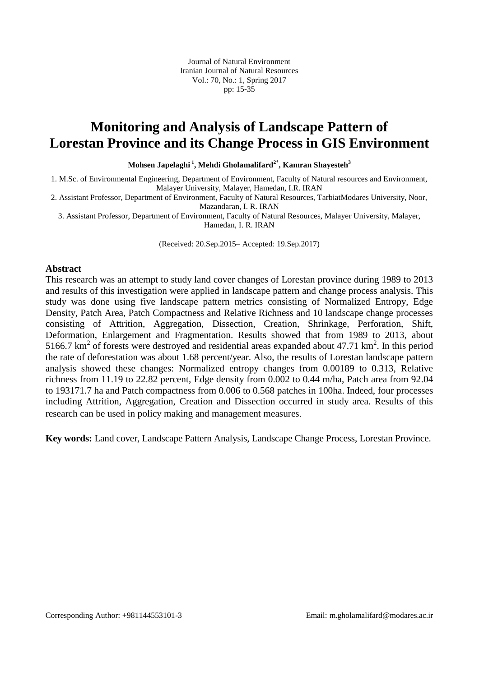Journal of Natural Environment Iranian Journal of Natural Resources Vol.: 70, No.: 1, Spring 2017 pp: 15-35

### **Monitoring and Analysis of Landscape Pattern of Lorestan Province and its Change Process in GIS Environment**

**Mohsen Japelaghi <sup>1</sup> , Mehdi Gholamalifard<sup>2</sup>**\* **, Kamran Shayesteh<sup>3</sup>**

1. M.Sc. of Environmental Engineering, Department of Environment, Faculty of Natural resources and Environment, Malayer University, Malayer, Hamedan, I.R. IRAN

2. Assistant Professor, Department of Environment, Faculty of Natural Resources, TarbiatModares University, Noor, Mazandaran, I. R. IRAN

3. Assistant Professor, Department of Environment, Faculty of Natural Resources, Malayer University, Malayer, Hamedan, I. R. IRAN

(Received: 20.Sep.2015– Accepted: 19.Sep.2017)

#### **Abstract**

This research was an attempt to study land cover changes of Lorestan province during 1989 to 2013 and results of this investigation were applied in landscape pattern and change process analysis. This study was done using five landscape pattern metrics consisting of Normalized Entropy, Edge Density, Patch Area, Patch Compactness and Relative Richness and 10 landscape change processes consisting of Attrition, Aggregation, Dissection, Creation, Shrinkage, Perforation, Shift, Deformation, Enlargement and Fragmentation. Results showed that from 1989 to 2013, about 5166.7  $\text{km}^2$  of forests were destroyed and residential areas expanded about 47.71  $\text{km}^2$ . In this period the rate of deforestation was about 1.68 percent/year. Also, the results of Lorestan landscape pattern analysis showed these changes: Normalized entropy changes from 0.00189 to 0.313, Relative richness from 11.19 to 22.82 percent, Edge density from 0.002 to 0.44 m/ha, Patch area from 92.04 to 193171.7 ha and Patch compactness from 0.006 to 0.568 patches in 100ha. Indeed, four processes including Attrition, Aggregation, Creation and Dissection occurred in study area. Results of this research can be used in policy making and management measures.

**Key words:** Land cover, Landscape Pattern Analysis, Landscape Change Process, Lorestan Province.